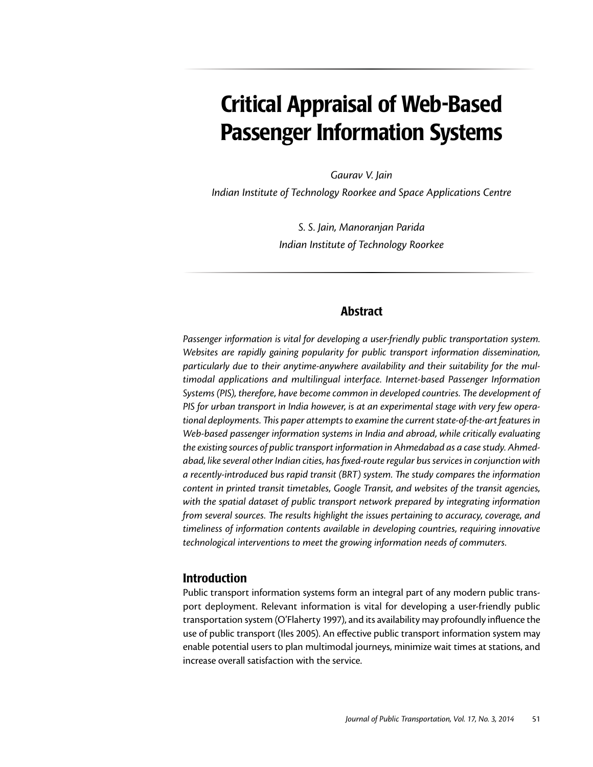# Critical Appraisal of Web-Based Passenger Information Systems

*Gaurav V. Jain*

*Indian Institute of Technology Roorkee and Space Applications Centre*

*S. S. Jain, Manoranjan Parida Indian Institute of Technology Roorkee*

## Abstract

*Passenger information is vital for developing a user-friendly public transportation system. Websites are rapidly gaining popularity for public transport information dissemination, particularly due to their anytime-anywhere availability and their suitability for the multimodal applications and multilingual interface. Internet-based Passenger Information Systems (PIS), therefore, have become common in developed countries. The development of PIS for urban transport in India however, is at an experimental stage with very few operational deployments. This paper attempts to examine the current state-of-the-art features in Web-based passenger information systems in India and abroad, while critically evaluating the existing sources of public transport information in Ahmedabad as a case study. Ahmedabad, like several other Indian cities, has fixed-route regular bus services in conjunction with a recently-introduced bus rapid transit (BRT) system. The study compares the information content in printed transit timetables, Google Transit, and websites of the transit agencies, with the spatial dataset of public transport network prepared by integrating information from several sources. The results highlight the issues pertaining to accuracy, coverage, and timeliness of information contents available in developing countries, requiring innovative technological interventions to meet the growing information needs of commuters.*

## Introduction

Public transport information systems form an integral part of any modern public transport deployment. Relevant information is vital for developing a user-friendly public transportation system (O'Flaherty 1997), and its availability may profoundly influence the use of public transport (Iles 2005). An effective public transport information system may enable potential users to plan multimodal journeys, minimize wait times at stations, and increase overall satisfaction with the service.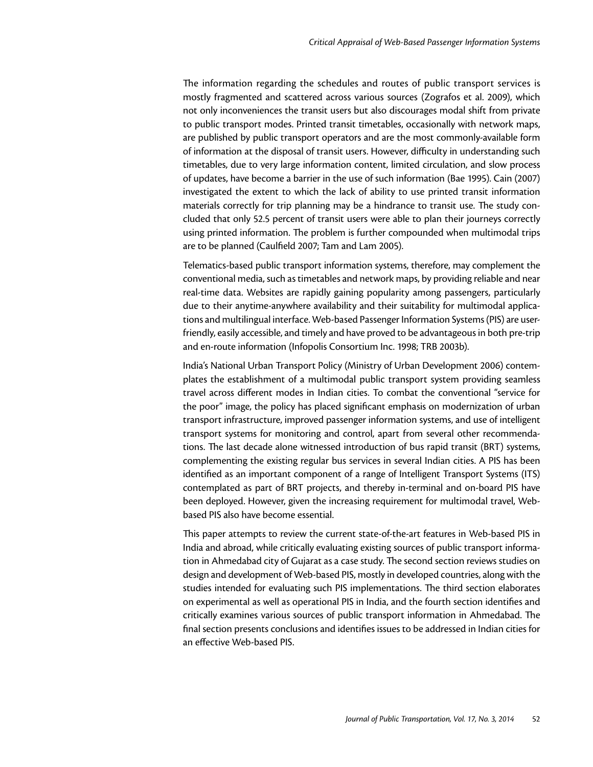The information regarding the schedules and routes of public transport services is mostly fragmented and scattered across various sources (Zografos et al. 2009), which not only inconveniences the transit users but also discourages modal shift from private to public transport modes. Printed transit timetables, occasionally with network maps, are published by public transport operators and are the most commonly-available form of information at the disposal of transit users. However, difficulty in understanding such timetables, due to very large information content, limited circulation, and slow process of updates, have become a barrier in the use of such information (Bae 1995). Cain (2007) investigated the extent to which the lack of ability to use printed transit information materials correctly for trip planning may be a hindrance to transit use. The study concluded that only 52.5 percent of transit users were able to plan their journeys correctly using printed information. The problem is further compounded when multimodal trips are to be planned (Caulfield 2007; Tam and Lam 2005).

Telematics-based public transport information systems, therefore, may complement the conventional media, such as timetables and network maps, by providing reliable and near real-time data. Websites are rapidly gaining popularity among passengers, particularly due to their anytime-anywhere availability and their suitability for multimodal applications and multilingual interface. Web-based Passenger Information Systems (PIS) are userfriendly, easily accessible, and timely and have proved to be advantageous in both pre-trip and en-route information (Infopolis Consortium Inc. 1998; TRB 2003b).

India's National Urban Transport Policy (Ministry of Urban Development 2006) contemplates the establishment of a multimodal public transport system providing seamless travel across different modes in Indian cities. To combat the conventional "service for the poor" image, the policy has placed significant emphasis on modernization of urban transport infrastructure, improved passenger information systems, and use of intelligent transport systems for monitoring and control, apart from several other recommendations. The last decade alone witnessed introduction of bus rapid transit (BRT) systems, complementing the existing regular bus services in several Indian cities. A PIS has been identified as an important component of a range of Intelligent Transport Systems (ITS) contemplated as part of BRT projects, and thereby in-terminal and on-board PIS have been deployed. However, given the increasing requirement for multimodal travel, Webbased PIS also have become essential.

This paper attempts to review the current state-of-the-art features in Web-based PIS in India and abroad, while critically evaluating existing sources of public transport information in Ahmedabad city of Gujarat as a case study. The second section reviews studies on design and development of Web-based PIS, mostly in developed countries, along with the studies intended for evaluating such PIS implementations. The third section elaborates on experimental as well as operational PIS in India, and the fourth section identifies and critically examines various sources of public transport information in Ahmedabad. The final section presents conclusions and identifies issues to be addressed in Indian cities for an effective Web-based PIS.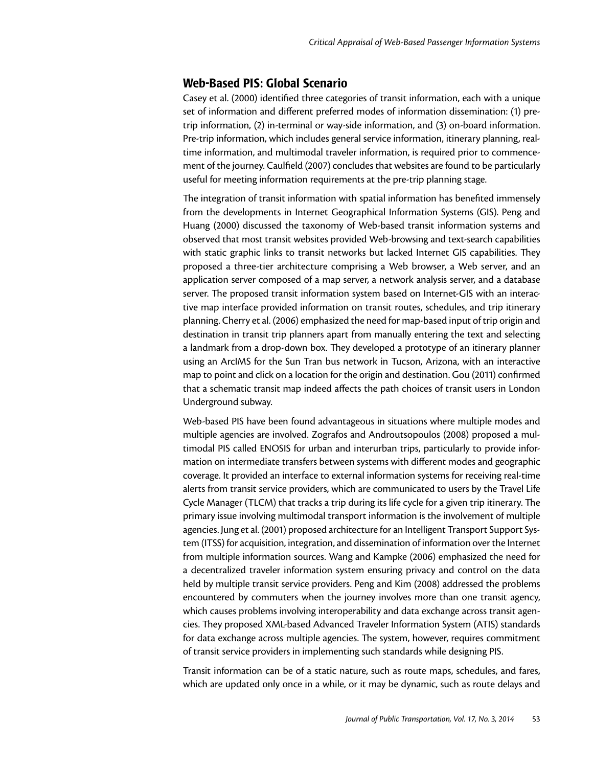# Web-Based PIS: Global Scenario

Casey et al. (2000) identified three categories of transit information, each with a unique set of information and different preferred modes of information dissemination: (1) pretrip information, (2) in-terminal or way-side information, and (3) on-board information. Pre-trip information, which includes general service information, itinerary planning, realtime information, and multimodal traveler information, is required prior to commencement of the journey. Caulfield (2007) concludes that websites are found to be particularly useful for meeting information requirements at the pre-trip planning stage.

The integration of transit information with spatial information has benefited immensely from the developments in Internet Geographical Information Systems (GIS). Peng and Huang (2000) discussed the taxonomy of Web-based transit information systems and observed that most transit websites provided Web-browsing and text-search capabilities with static graphic links to transit networks but lacked Internet GIS capabilities. They proposed a three-tier architecture comprising a Web browser, a Web server, and an application server composed of a map server, a network analysis server, and a database server. The proposed transit information system based on Internet-GIS with an interactive map interface provided information on transit routes, schedules, and trip itinerary planning. Cherry et al. (2006) emphasized the need for map-based input of trip origin and destination in transit trip planners apart from manually entering the text and selecting a landmark from a drop-down box. They developed a prototype of an itinerary planner using an ArcIMS for the Sun Tran bus network in Tucson, Arizona, with an interactive map to point and click on a location for the origin and destination. Gou (2011) confirmed that a schematic transit map indeed affects the path choices of transit users in London Underground subway.

Web-based PIS have been found advantageous in situations where multiple modes and multiple agencies are involved. Zografos and Androutsopoulos (2008) proposed a multimodal PIS called ENOSIS for urban and interurban trips, particularly to provide information on intermediate transfers between systems with different modes and geographic coverage. It provided an interface to external information systems for receiving real-time alerts from transit service providers, which are communicated to users by the Travel Life Cycle Manager (TLCM) that tracks a trip during its life cycle for a given trip itinerary. The primary issue involving multimodal transport information is the involvement of multiple agencies. Jung et al. (2001) proposed architecture for an Intelligent Transport Support System (ITSS) for acquisition, integration, and dissemination of information over the Internet from multiple information sources. Wang and Kampke (2006) emphasized the need for a decentralized traveler information system ensuring privacy and control on the data held by multiple transit service providers. Peng and Kim (2008) addressed the problems encountered by commuters when the journey involves more than one transit agency, which causes problems involving interoperability and data exchange across transit agencies. They proposed XML-based Advanced Traveler Information System (ATIS) standards for data exchange across multiple agencies. The system, however, requires commitment of transit service providers in implementing such standards while designing PIS.

Transit information can be of a static nature, such as route maps, schedules, and fares, which are updated only once in a while, or it may be dynamic, such as route delays and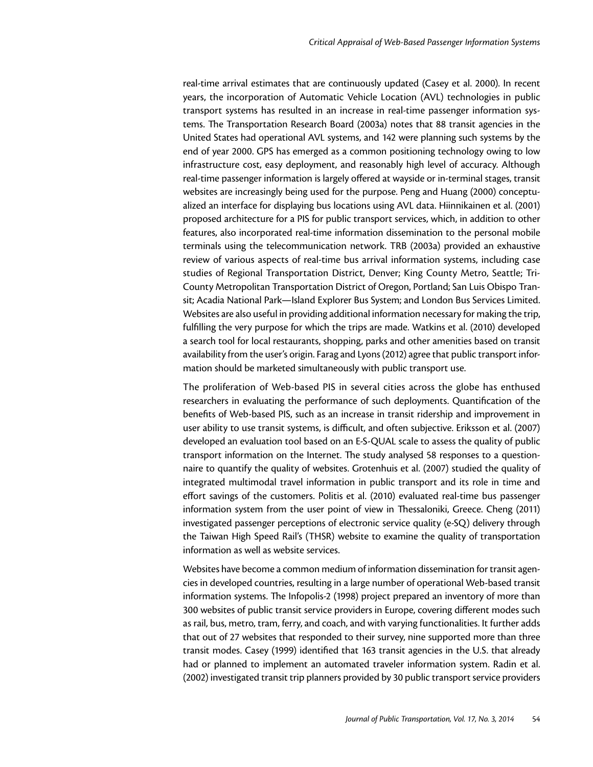real-time arrival estimates that are continuously updated (Casey et al. 2000). In recent years, the incorporation of Automatic Vehicle Location (AVL) technologies in public transport systems has resulted in an increase in real-time passenger information systems. The Transportation Research Board (2003a) notes that 88 transit agencies in the United States had operational AVL systems, and 142 were planning such systems by the end of year 2000. GPS has emerged as a common positioning technology owing to low infrastructure cost, easy deployment, and reasonably high level of accuracy. Although real-time passenger information is largely offered at wayside or in-terminal stages, transit websites are increasingly being used for the purpose. Peng and Huang (2000) conceptualized an interface for displaying bus locations using AVL data. Hiinnikainen et al. (2001) proposed architecture for a PIS for public transport services, which, in addition to other features, also incorporated real-time information dissemination to the personal mobile terminals using the telecommunication network. TRB (2003a) provided an exhaustive review of various aspects of real-time bus arrival information systems, including case studies of Regional Transportation District, Denver; King County Metro, Seattle; Tri-County Metropolitan Transportation District of Oregon, Portland; San Luis Obispo Transit; Acadia National Park—Island Explorer Bus System; and London Bus Services Limited. Websites are also useful in providing additional information necessary for making the trip, fulfilling the very purpose for which the trips are made. Watkins et al. (2010) developed a search tool for local restaurants, shopping, parks and other amenities based on transit availability from the user's origin. Farag and Lyons (2012) agree that public transport information should be marketed simultaneously with public transport use.

The proliferation of Web-based PIS in several cities across the globe has enthused researchers in evaluating the performance of such deployments. Quantification of the benefits of Web-based PIS, such as an increase in transit ridership and improvement in user ability to use transit systems, is difficult, and often subjective. Eriksson et al. (2007) developed an evaluation tool based on an E-S-QUAL scale to assess the quality of public transport information on the Internet. The study analysed 58 responses to a questionnaire to quantify the quality of websites. Grotenhuis et al. (2007) studied the quality of integrated multimodal travel information in public transport and its role in time and effort savings of the customers. Politis et al. (2010) evaluated real-time bus passenger information system from the user point of view in Thessaloniki, Greece. Cheng (2011) investigated passenger perceptions of electronic service quality (e-SQ) delivery through the Taiwan High Speed Rail's (THSR) website to examine the quality of transportation information as well as website services.

Websites have become a common medium of information dissemination for transit agencies in developed countries, resulting in a large number of operational Web-based transit information systems. The Infopolis-2 (1998) project prepared an inventory of more than 300 websites of public transit service providers in Europe, covering different modes such as rail, bus, metro, tram, ferry, and coach, and with varying functionalities. It further adds that out of 27 websites that responded to their survey, nine supported more than three transit modes. Casey (1999) identified that 163 transit agencies in the U.S. that already had or planned to implement an automated traveler information system. Radin et al. (2002) investigated transit trip planners provided by 30 public transport service providers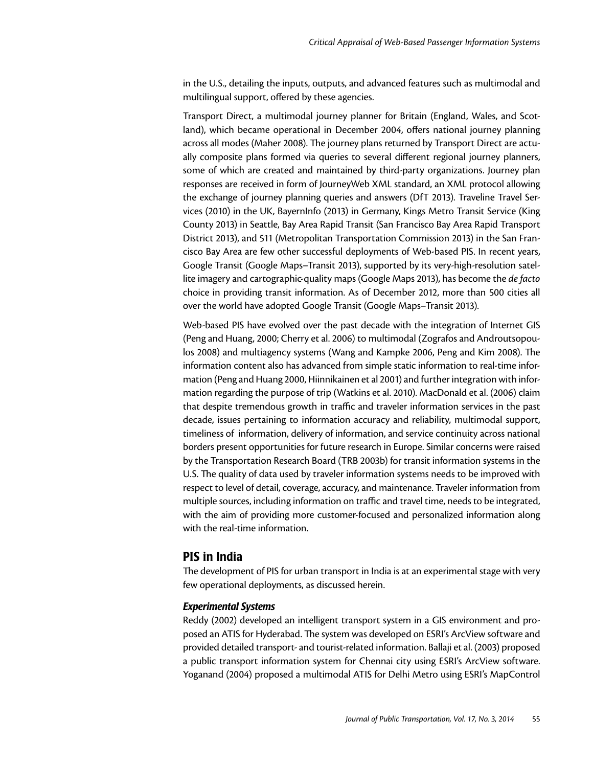in the U.S., detailing the inputs, outputs, and advanced features such as multimodal and multilingual support, offered by these agencies.

Transport Direct, a multimodal journey planner for Britain (England, Wales, and Scotland), which became operational in December 2004, offers national journey planning across all modes (Maher 2008). The journey plans returned by Transport Direct are actually composite plans formed via queries to several different regional journey planners, some of which are created and maintained by third-party organizations. Journey plan responses are received in form of JourneyWeb XML standard, an XML protocol allowing the exchange of journey planning queries and answers (DfT 2013). Traveline Travel Services (2010) in the UK, BayernInfo (2013) in Germany, Kings Metro Transit Service (King County 2013) in Seattle, Bay Area Rapid Transit (San Francisco Bay Area Rapid Transport District 2013), and 511 (Metropolitan Transportation Commission 2013) in the San Francisco Bay Area are few other successful deployments of Web-based PIS. In recent years, Google Transit (Google Maps–Transit 2013), supported by its very-high-resolution satellite imagery and cartographic-quality maps (Google Maps 2013), has become the *de facto*  choice in providing transit information. As of December 2012, more than 500 cities all over the world have adopted Google Transit (Google Maps–Transit 2013).

Web-based PIS have evolved over the past decade with the integration of Internet GIS (Peng and Huang, 2000; Cherry et al. 2006) to multimodal (Zografos and Androutsopoulos 2008) and multiagency systems (Wang and Kampke 2006, Peng and Kim 2008). The information content also has advanced from simple static information to real-time information (Peng and Huang 2000, Hiinnikainen et al 2001) and further integration with information regarding the purpose of trip (Watkins et al. 2010). MacDonald et al. (2006) claim that despite tremendous growth in traffic and traveler information services in the past decade, issues pertaining to information accuracy and reliability, multimodal support, timeliness of information, delivery of information, and service continuity across national borders present opportunities for future research in Europe. Similar concerns were raised by the Transportation Research Board (TRB 2003b) for transit information systems in the U.S. The quality of data used by traveler information systems needs to be improved with respect to level of detail, coverage, accuracy, and maintenance. Traveler information from multiple sources, including information on traffic and travel time, needs to be integrated, with the aim of providing more customer-focused and personalized information along with the real-time information.

## PIS in India

The development of PIS for urban transport in India is at an experimental stage with very few operational deployments, as discussed herein.

### *Experimental Systems*

Reddy (2002) developed an intelligent transport system in a GIS environment and proposed an ATIS for Hyderabad. The system was developed on ESRI's ArcView software and provided detailed transport- and tourist-related information. Ballaji et al. (2003) proposed a public transport information system for Chennai city using ESRI's ArcView software. Yoganand (2004) proposed a multimodal ATIS for Delhi Metro using ESRI's MapControl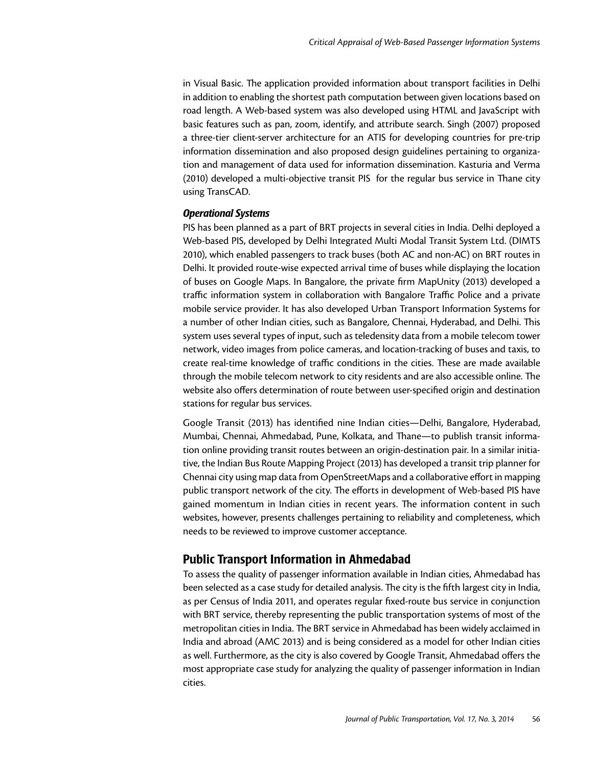in Visual Basic. The application provided information about transport facilities in Delhi in addition to enabling the shortest path computation between given locations based on road length. A Web-based system was also developed using HTML and JavaScript with basic features such as pan, zoom, identify, and attribute search. Singh (2007) proposed a three-tier client-server architecture for an ATIS for developing countries for pre-trip information dissemination and also proposed design guidelines pertaining to organization and management of data used for information dissemination. Kasturia and Verma (2010) developed a multi-objective transit PIS for the regular bus service in Thane city using TransCAD.

#### *Operational Systems*

PIS has been planned as a part of BRT projects in several cities in India. Delhi deployed a Web-based PIS, developed by Delhi Integrated Multi Modal Transit System Ltd. (DIMTS 2010), which enabled passengers to track buses (both AC and non-AC) on BRT routes in Delhi. It provided route-wise expected arrival time of buses while displaying the location of buses on Google Maps. In Bangalore, the private firm MapUnity (2013) developed a traffic information system in collaboration with Bangalore Traffic Police and a private mobile service provider. It has also developed Urban Transport Information Systems for a number of other Indian cities, such as Bangalore, Chennai, Hyderabad, and Delhi. This system uses several types of input, such as teledensity data from a mobile telecom tower network, video images from police cameras, and location-tracking of buses and taxis, to create real-time knowledge of traffic conditions in the cities. These are made available through the mobile telecom network to city residents and are also accessible online. The website also offers determination of route between user-specified origin and destination stations for regular bus services.

Google Transit (2013) has identified nine Indian cities—Delhi, Bangalore, Hyderabad, Mumbai, Chennai, Ahmedabad, Pune, Kolkata, and Thane—to publish transit information online providing transit routes between an origin-destination pair. In a similar initiative, the Indian Bus Route Mapping Project (2013) has developed a transit trip planner for Chennai city using map data from OpenStreetMaps and a collaborative effort in mapping public transport network of the city. The efforts in development of Web-based PIS have gained momentum in Indian cities in recent years. The information content in such websites, however, presents challenges pertaining to reliability and completeness, which needs to be reviewed to improve customer acceptance.

# Public Transport Information in Ahmedabad

To assess the quality of passenger information available in Indian cities, Ahmedabad has been selected as a case study for detailed analysis. The city is the fifth largest city in India, as per Census of India 2011, and operates regular fixed-route bus service in conjunction with BRT service, thereby representing the public transportation systems of most of the metropolitan cities in India. The BRT service in Ahmedabad has been widely acclaimed in India and abroad (AMC 2013) and is being considered as a model for other Indian cities as well. Furthermore, as the city is also covered by Google Transit, Ahmedabad offers the most appropriate case study for analyzing the quality of passenger information in Indian cities.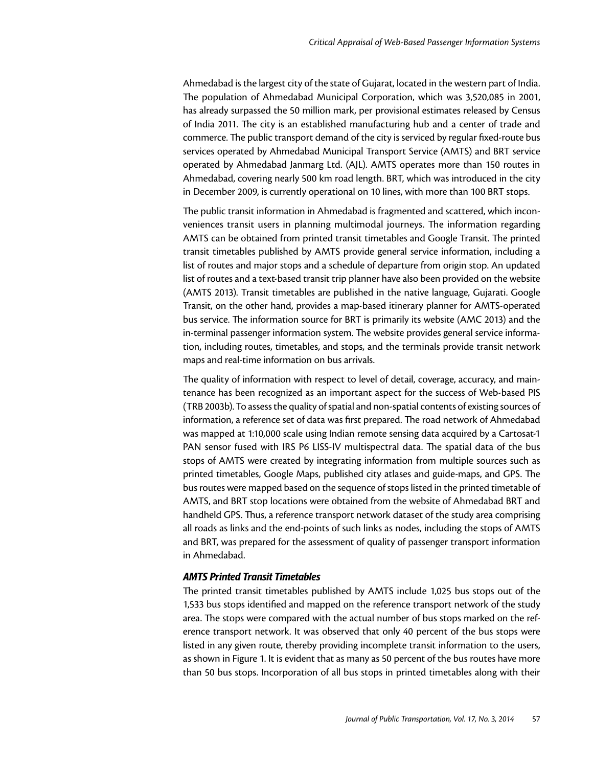Ahmedabad is the largest city of the state of Gujarat, located in the western part of India. The population of Ahmedabad Municipal Corporation, which was 3,520,085 in 2001, has already surpassed the 50 million mark, per provisional estimates released by Census of India 2011. The city is an established manufacturing hub and a center of trade and commerce. The public transport demand of the city is serviced by regular fixed-route bus services operated by Ahmedabad Municipal Transport Service (AMTS) and BRT service operated by Ahmedabad Janmarg Ltd. (AJL). AMTS operates more than 150 routes in Ahmedabad, covering nearly 500 km road length. BRT, which was introduced in the city in December 2009, is currently operational on 10 lines, with more than 100 BRT stops.

The public transit information in Ahmedabad is fragmented and scattered, which inconveniences transit users in planning multimodal journeys. The information regarding AMTS can be obtained from printed transit timetables and Google Transit. The printed transit timetables published by AMTS provide general service information, including a list of routes and major stops and a schedule of departure from origin stop. An updated list of routes and a text-based transit trip planner have also been provided on the website (AMTS 2013). Transit timetables are published in the native language, Gujarati. Google Transit, on the other hand, provides a map-based itinerary planner for AMTS-operated bus service. The information source for BRT is primarily its website (AMC 2013) and the in-terminal passenger information system. The website provides general service information, including routes, timetables, and stops, and the terminals provide transit network maps and real-time information on bus arrivals.

The quality of information with respect to level of detail, coverage, accuracy, and maintenance has been recognized as an important aspect for the success of Web-based PIS (TRB 2003b). To assess the quality of spatial and non-spatial contents of existing sources of information, a reference set of data was first prepared. The road network of Ahmedabad was mapped at 1:10,000 scale using Indian remote sensing data acquired by a Cartosat-1 PAN sensor fused with IRS P6 LISS-IV multispectral data. The spatial data of the bus stops of AMTS were created by integrating information from multiple sources such as printed timetables, Google Maps, published city atlases and guide-maps, and GPS. The bus routes were mapped based on the sequence of stops listed in the printed timetable of AMTS, and BRT stop locations were obtained from the website of Ahmedabad BRT and handheld GPS. Thus, a reference transport network dataset of the study area comprising all roads as links and the end-points of such links as nodes, including the stops of AMTS and BRT, was prepared for the assessment of quality of passenger transport information in Ahmedabad.

#### *AMTS Printed Transit Timetables*

The printed transit timetables published by AMTS include 1,025 bus stops out of the 1,533 bus stops identified and mapped on the reference transport network of the study area. The stops were compared with the actual number of bus stops marked on the reference transport network. It was observed that only 40 percent of the bus stops were listed in any given route, thereby providing incomplete transit information to the users, as shown in Figure 1. It is evident that as many as 50 percent of the bus routes have more than 50 bus stops. Incorporation of all bus stops in printed timetables along with their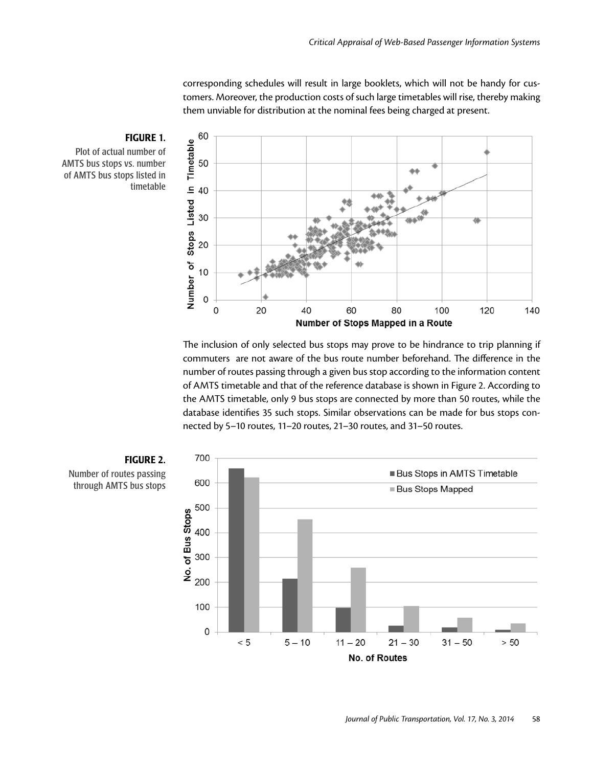corresponding schedules will result in large booklets, which will not be handy for customers. Moreover, the production costs of such large timetables will rise, thereby making them unviable for distribution at the nominal fees being charged at present.



The inclusion of only selected bus stops may prove to be hindrance to trip planning if commuters are not aware of the bus route number beforehand. The difference in the number of routes passing through a given bus stop according to the information content of AMTS timetable and that of the reference database is shown in Figure 2. According to the AMTS timetable, only 9 bus stops are connected by more than 50 routes, while the database identifies 35 such stops. Similar observations can be made for bus stops connected by 5–10 routes, 11–20 routes, 21–30 routes, and 31–50 routes.



# FIGURE 1. Plot of actual number of AMTS bus stops vs. number

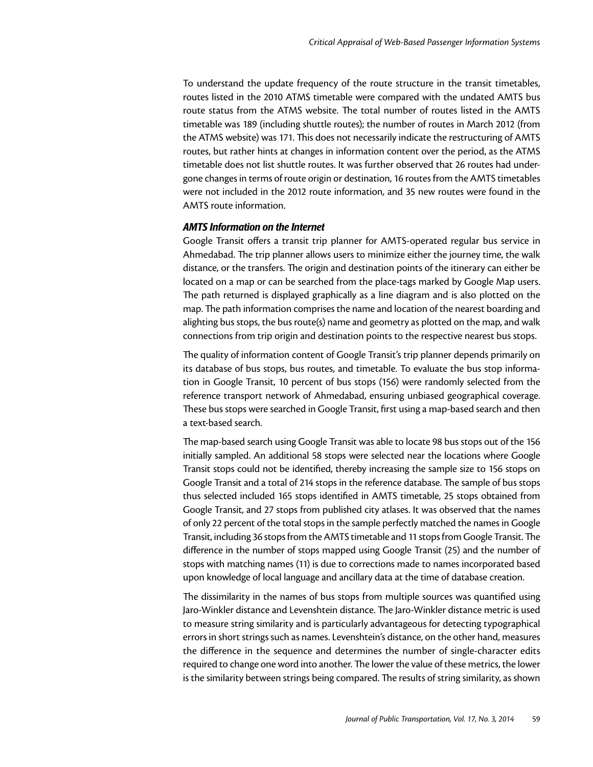To understand the update frequency of the route structure in the transit timetables, routes listed in the 2010 ATMS timetable were compared with the undated AMTS bus route status from the ATMS website. The total number of routes listed in the AMTS timetable was 189 (including shuttle routes); the number of routes in March 2012 (from the ATMS website) was 171. This does not necessarily indicate the restructuring of AMTS routes, but rather hints at changes in information content over the period, as the ATMS timetable does not list shuttle routes. It was further observed that 26 routes had undergone changes in terms of route origin or destination, 16 routes from the AMTS timetables were not included in the 2012 route information, and 35 new routes were found in the AMTS route information.

#### *AMTS Information on the Internet*

Google Transit offers a transit trip planner for AMTS-operated regular bus service in Ahmedabad. The trip planner allows users to minimize either the journey time, the walk distance, or the transfers. The origin and destination points of the itinerary can either be located on a map or can be searched from the place-tags marked by Google Map users. The path returned is displayed graphically as a line diagram and is also plotted on the map. The path information comprises the name and location of the nearest boarding and alighting bus stops, the bus route(s) name and geometry as plotted on the map, and walk connections from trip origin and destination points to the respective nearest bus stops.

The quality of information content of Google Transit's trip planner depends primarily on its database of bus stops, bus routes, and timetable. To evaluate the bus stop information in Google Transit, 10 percent of bus stops (156) were randomly selected from the reference transport network of Ahmedabad, ensuring unbiased geographical coverage. These bus stops were searched in Google Transit, first using a map-based search and then a text-based search.

The map-based search using Google Transit was able to locate 98 bus stops out of the 156 initially sampled. An additional 58 stops were selected near the locations where Google Transit stops could not be identified, thereby increasing the sample size to 156 stops on Google Transit and a total of 214 stops in the reference database. The sample of bus stops thus selected included 165 stops identified in AMTS timetable, 25 stops obtained from Google Transit, and 27 stops from published city atlases. It was observed that the names of only 22 percent of the total stops in the sample perfectly matched the names in Google Transit, including 36 stops from the AMTS timetable and 11 stops from Google Transit. The difference in the number of stops mapped using Google Transit (25) and the number of stops with matching names (11) is due to corrections made to names incorporated based upon knowledge of local language and ancillary data at the time of database creation.

The dissimilarity in the names of bus stops from multiple sources was quantified using Jaro-Winkler distance and Levenshtein distance. The Jaro-Winkler distance metric is used to measure string similarity and is particularly advantageous for detecting typographical errors in short strings such as names. Levenshtein's distance, on the other hand, measures the difference in the sequence and determines the number of single-character edits required to change one word into another. The lower the value of these metrics, the lower is the similarity between strings being compared. The results of string similarity, as shown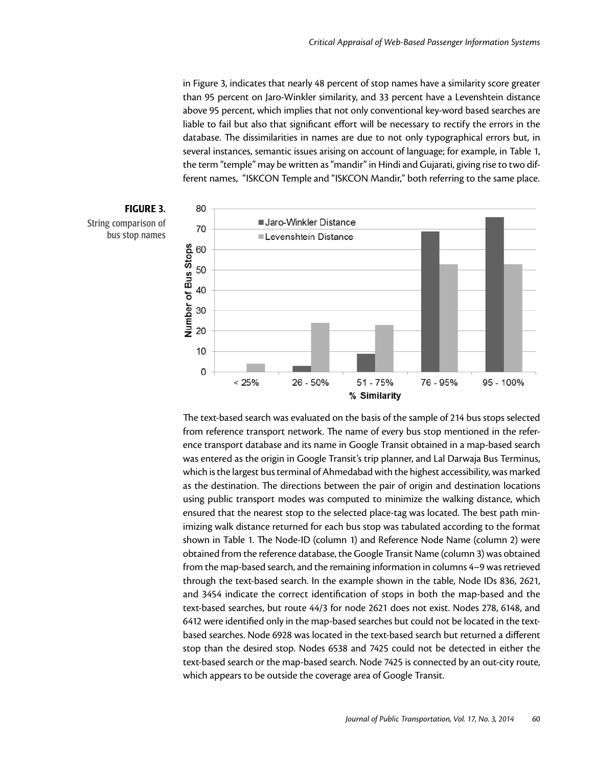in Figure 3, indicates that nearly 48 percent of stop names have a similarity score greater than 95 percent on Jaro-Winkler similarity, and 33 percent have a Levenshtein distance above 95 percent, which implies that not only conventional key-word based searches are liable to fail but also that significant effort will be necessary to rectify the errors in the database. The dissimilarities in names are due to not only typographical errors but, in several instances, semantic issues arising on account of language; for example, in Table 1, the term "temple" may be written as "mandir" in Hindi and Gujarati, giving rise to two different names, "ISKCON Temple and "ISKCON Mandir," both referring to the same place.



The text-based search was evaluated on the basis of the sample of 214 bus stops selected from reference transport network. The name of every bus stop mentioned in the reference transport database and its name in Google Transit obtained in a map-based search was entered as the origin in Google Transit's trip planner, and Lal Darwaja Bus Terminus, which is the largest bus terminal of Ahmedabad with the highest accessibility, was marked as the destination. The directions between the pair of origin and destination locations using public transport modes was computed to minimize the walking distance, which ensured that the nearest stop to the selected place-tag was located. The best path minimizing walk distance returned for each bus stop was tabulated according to the format shown in Table 1. The Node-ID (column 1) and Reference Node Name (column 2) were obtained from the reference database, the Google Transit Name (column 3) was obtained from the map-based search, and the remaining information in columns 4–9 was retrieved through the text-based search. In the example shown in the table, Node IDs 836, 2621, and 3454 indicate the correct identification of stops in both the map-based and the text-based searches, but route 44/3 for node 2621 does not exist. Nodes 278, 6148, and 6412 were identified only in the map-based searches but could not be located in the textbased searches. Node 6928 was located in the text-based search but returned a different stop than the desired stop. Nodes 6538 and 7425 could not be detected in either the text-based search or the map-based search. Node 7425 is connected by an out-city route, which appears to be outside the coverage area of Google Transit.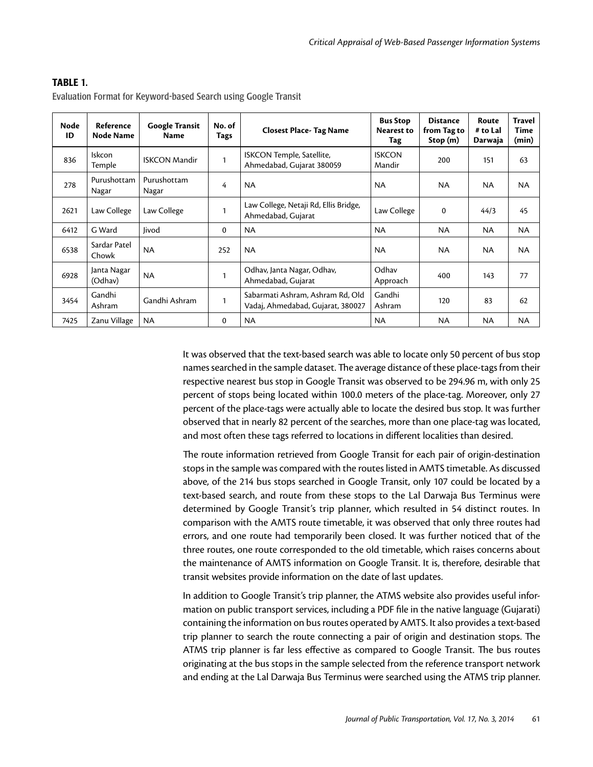| Node<br>ID | Reference<br><b>Node Name</b> | <b>Google Transit</b><br><b>Name</b> | No. of<br>Tags | <b>Closest Place- Tag Name</b>                                        | <b>Bus Stop</b><br><b>Nearest to</b><br>Tag | <b>Distance</b><br>from Tag to<br>Stop(m) | Route<br># to Lal<br>Darwaja | <b>Travel</b><br>Time<br>(min) |
|------------|-------------------------------|--------------------------------------|----------------|-----------------------------------------------------------------------|---------------------------------------------|-------------------------------------------|------------------------------|--------------------------------|
| 836        | Iskcon<br>Temple              | <b>ISKCON Mandir</b>                 | $\mathbf{1}$   | ISKCON Temple, Satellite,<br>Ahmedabad, Gujarat 380059                | <b>ISKCON</b><br>Mandir                     | 200                                       | 151                          | 63                             |
| 278        | Purushottam<br>Nagar          | Purushottam<br>Nagar                 | 4              | <b>NA</b>                                                             | <b>NA</b>                                   | <b>NA</b>                                 | NA.                          | <b>NA</b>                      |
| 2621       | Law College                   | Law College                          | 1              | Law College, Netaji Rd, Ellis Bridge,<br>Ahmedabad, Gujarat           | Law College                                 | $\mathbf 0$                               | 44/3                         | 45                             |
| 6412       | G Ward                        | Jivod                                | 0              | <b>NA</b>                                                             | <b>NA</b>                                   | <b>NA</b>                                 | NA.                          | <b>NA</b>                      |
| 6538       | Sardar Patel<br>Chowk         | <b>NA</b>                            | 252            | NA.                                                                   | <b>NA</b>                                   | <b>NA</b>                                 | NA.                          | <b>NA</b>                      |
| 6928       | Janta Nagar<br>(Odhav)        | <b>NA</b>                            |                | Odhav, Janta Nagar, Odhav,<br>Ahmedabad, Gujarat                      | Odhav<br>Approach                           | 400                                       | 143                          | 77                             |
| 3454       | Gandhi<br>Ashram              | Gandhi Ashram                        | 1              | Sabarmati Ashram, Ashram Rd, Old<br>Vadaj, Ahmedabad, Gujarat, 380027 | Gandhi<br>Ashram                            | 120                                       | 83                           | 62                             |
| 7425       | Zanu Village                  | <b>NA</b>                            | 0              | NA.                                                                   | <b>NA</b>                                   | <b>NA</b>                                 | <b>NA</b>                    | <b>NA</b>                      |

#### TABLE 1.

Evaluation Format for Keyword-based Search using Google Transit

It was observed that the text-based search was able to locate only 50 percent of bus stop names searched in the sample dataset. The average distance of these place-tags from their respective nearest bus stop in Google Transit was observed to be 294.96 m, with only 25 percent of stops being located within 100.0 meters of the place-tag. Moreover, only 27 percent of the place-tags were actually able to locate the desired bus stop. It was further observed that in nearly 82 percent of the searches, more than one place-tag was located, and most often these tags referred to locations in different localities than desired.

The route information retrieved from Google Transit for each pair of origin-destination stops in the sample was compared with the routes listed in AMTS timetable. As discussed above, of the 214 bus stops searched in Google Transit, only 107 could be located by a text-based search, and route from these stops to the Lal Darwaja Bus Terminus were determined by Google Transit's trip planner, which resulted in 54 distinct routes. In comparison with the AMTS route timetable, it was observed that only three routes had errors, and one route had temporarily been closed. It was further noticed that of the three routes, one route corresponded to the old timetable, which raises concerns about the maintenance of AMTS information on Google Transit. It is, therefore, desirable that transit websites provide information on the date of last updates.

In addition to Google Transit's trip planner, the ATMS website also provides useful information on public transport services, including a PDF file in the native language (Gujarati) containing the information on bus routes operated by AMTS. It also provides a text-based trip planner to search the route connecting a pair of origin and destination stops. The ATMS trip planner is far less effective as compared to Google Transit. The bus routes originating at the bus stops in the sample selected from the reference transport network and ending at the Lal Darwaja Bus Terminus were searched using the ATMS trip planner.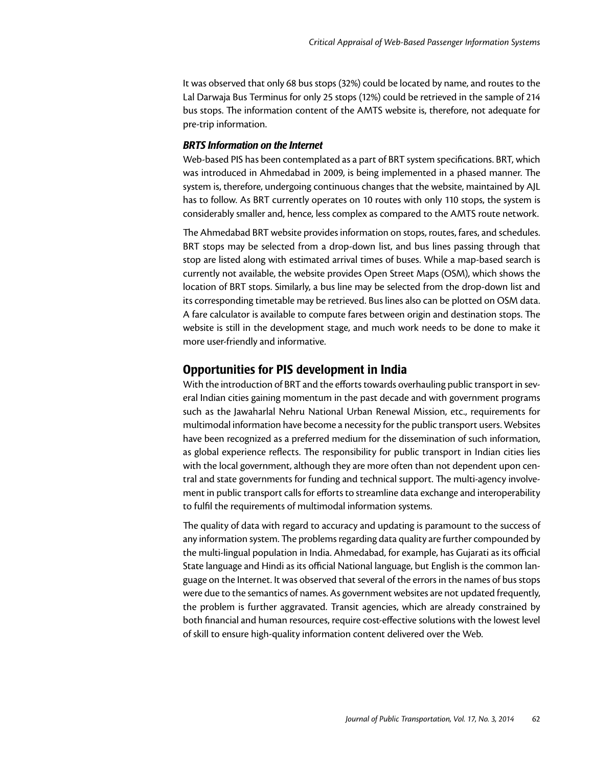It was observed that only 68 bus stops (32%) could be located by name, and routes to the Lal Darwaja Bus Terminus for only 25 stops (12%) could be retrieved in the sample of 214 bus stops. The information content of the AMTS website is, therefore, not adequate for pre-trip information.

#### *BRTS Information on the Internet*

Web-based PIS has been contemplated as a part of BRT system specifications. BRT, which was introduced in Ahmedabad in 2009, is being implemented in a phased manner. The system is, therefore, undergoing continuous changes that the website, maintained by AJL has to follow. As BRT currently operates on 10 routes with only 110 stops, the system is considerably smaller and, hence, less complex as compared to the AMTS route network.

The Ahmedabad BRT website provides information on stops, routes, fares, and schedules. BRT stops may be selected from a drop-down list, and bus lines passing through that stop are listed along with estimated arrival times of buses. While a map-based search is currently not available, the website provides Open Street Maps (OSM), which shows the location of BRT stops. Similarly, a bus line may be selected from the drop-down list and its corresponding timetable may be retrieved. Bus lines also can be plotted on OSM data. A fare calculator is available to compute fares between origin and destination stops. The website is still in the development stage, and much work needs to be done to make it more user-friendly and informative.

# Opportunities for PIS development in India

With the introduction of BRT and the efforts towards overhauling public transport in several Indian cities gaining momentum in the past decade and with government programs such as the Jawaharlal Nehru National Urban Renewal Mission, etc., requirements for multimodal information have become a necessity for the public transport users. Websites have been recognized as a preferred medium for the dissemination of such information, as global experience reflects. The responsibility for public transport in Indian cities lies with the local government, although they are more often than not dependent upon central and state governments for funding and technical support. The multi-agency involvement in public transport calls for efforts to streamline data exchange and interoperability to fulfil the requirements of multimodal information systems.

The quality of data with regard to accuracy and updating is paramount to the success of any information system. The problems regarding data quality are further compounded by the multi-lingual population in India. Ahmedabad, for example, has Gujarati as its official State language and Hindi as its official National language, but English is the common language on the Internet. It was observed that several of the errors in the names of bus stops were due to the semantics of names. As government websites are not updated frequently, the problem is further aggravated. Transit agencies, which are already constrained by both financial and human resources, require cost-effective solutions with the lowest level of skill to ensure high-quality information content delivered over the Web.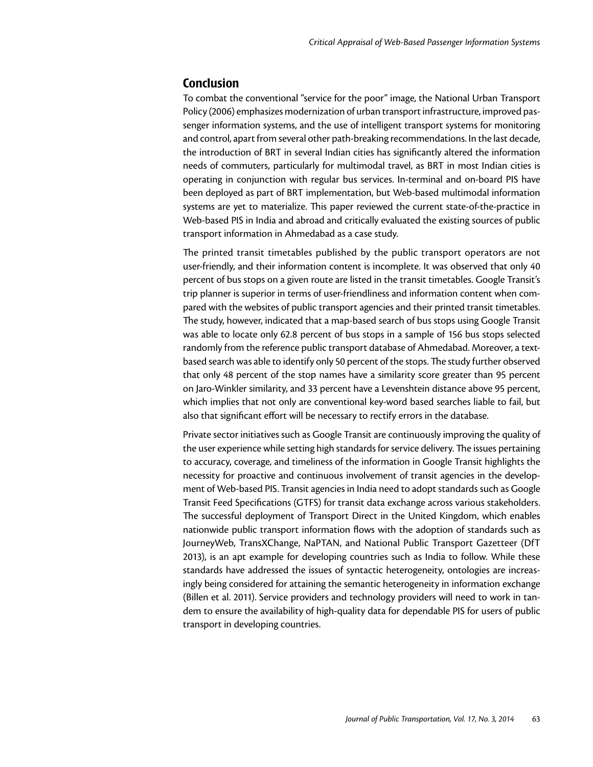## **Conclusion**

To combat the conventional "service for the poor" image, the National Urban Transport Policy (2006) emphasizes modernization of urban transport infrastructure, improved passenger information systems, and the use of intelligent transport systems for monitoring and control, apart from several other path-breaking recommendations. In the last decade, the introduction of BRT in several Indian cities has significantly altered the information needs of commuters, particularly for multimodal travel, as BRT in most Indian cities is operating in conjunction with regular bus services. In-terminal and on-board PIS have been deployed as part of BRT implementation, but Web-based multimodal information systems are yet to materialize. This paper reviewed the current state-of-the-practice in Web-based PIS in India and abroad and critically evaluated the existing sources of public transport information in Ahmedabad as a case study.

The printed transit timetables published by the public transport operators are not user-friendly, and their information content is incomplete. It was observed that only 40 percent of bus stops on a given route are listed in the transit timetables. Google Transit's trip planner is superior in terms of user-friendliness and information content when compared with the websites of public transport agencies and their printed transit timetables. The study, however, indicated that a map-based search of bus stops using Google Transit was able to locate only 62.8 percent of bus stops in a sample of 156 bus stops selected randomly from the reference public transport database of Ahmedabad. Moreover, a textbased search was able to identify only 50 percent of the stops. The study further observed that only 48 percent of the stop names have a similarity score greater than 95 percent on Jaro-Winkler similarity, and 33 percent have a Levenshtein distance above 95 percent, which implies that not only are conventional key-word based searches liable to fail, but also that significant effort will be necessary to rectify errors in the database.

Private sector initiatives such as Google Transit are continuously improving the quality of the user experience while setting high standards for service delivery. The issues pertaining to accuracy, coverage, and timeliness of the information in Google Transit highlights the necessity for proactive and continuous involvement of transit agencies in the development of Web-based PIS. Transit agencies in India need to adopt standards such as Google Transit Feed Specifications (GTFS) for transit data exchange across various stakeholders. The successful deployment of Transport Direct in the United Kingdom, which enables nationwide public transport information flows with the adoption of standards such as JourneyWeb, TransXChange, NaPTAN, and National Public Transport Gazetteer (DfT 2013), is an apt example for developing countries such as India to follow. While these standards have addressed the issues of syntactic heterogeneity, ontologies are increasingly being considered for attaining the semantic heterogeneity in information exchange (Billen et al. 2011). Service providers and technology providers will need to work in tandem to ensure the availability of high-quality data for dependable PIS for users of public transport in developing countries.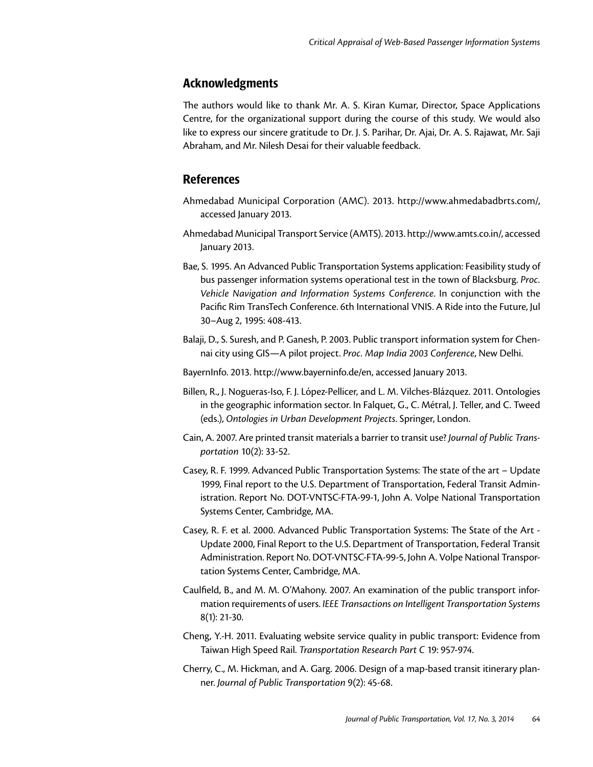# Acknowledgments

The authors would like to thank Mr. A. S. Kiran Kumar, Director, Space Applications Centre, for the organizational support during the course of this study. We would also like to express our sincere gratitude to Dr. J. S. Parihar, Dr. Ajai, Dr. A. S. Rajawat, Mr. Saji Abraham, and Mr. Nilesh Desai for their valuable feedback.

# References

- Ahmedabad Municipal Corporation (AMC). 2013. [http://www.ahmedabadbrts.com/](http://www.ahmedabadbrts.com), accessed January 2013.
- Ahmedabad Municipal Transport Service (AMTS). 2013. [http://www.amts.co.in/](http://www.amts.co.in), accessed January 2013.
- Bae, S. 1995. An Advanced Public Transportation Systems application: Feasibility study of bus passenger information systems operational test in the town of Blacksburg. *Proc. Vehicle Navigation and Information Systems Conference*. In conjunction with the Pacific Rim TransTech Conference. 6th International VNIS. A Ride into the Future, Jul 30–Aug 2, 1995: 408-413.
- Balaji, D., S. Suresh, and P. Ganesh, P. 2003. Public transport information system for Chennai city using GIS—A pilot project. *Proc. Map India 2003 Conference*, New Delhi.
- BayernInfo. 2013. [http://www.bayerninfo.de/en,](http://www.bayerninfo.de/en) accessed January 2013.
- Billen, R., J. Nogueras-Iso, F. J. López-Pellicer, and L. M. Vilches-Blázquez. 2011. Ontologies in the geographic information sector. In Falquet, G., C. Métral, J. Teller, and C. Tweed (eds.), *Ontologies in Urban Development Projects*. Springer, London.
- Cain, A. 2007. Are printed transit materials a barrier to transit use? *Journal of Public Transportation* 10(2): 33-52.
- Casey, R. F. 1999. Advanced Public Transportation Systems: The state of the art Update 1999, Final report to the U.S. Department of Transportation, Federal Transit Administration. Report No. DOT-VNTSC-FTA-99-1, John A. Volpe National Transportation Systems Center, Cambridge, MA.
- Casey, R. F. et al. 2000. Advanced Public Transportation Systems: The State of the Art Update 2000, Final Report to the U.S. Department of Transportation, Federal Transit Administration. Report No. DOT-VNTSC-FTA-99-5, John A. Volpe National Transportation Systems Center, Cambridge, MA.
- Caulfield, B., and M. M. O'Mahony. 2007. An examination of the public transport information requirements of users. *IEEE Transactions on Intelligent Transportation Systems*  8(1): 21-30.
- Cheng, Y.-H. 2011. Evaluating website service quality in public transport: Evidence from Taiwan High Speed Rail. *Transportation Research Part C* 19: 957-974.
- Cherry, C., M. Hickman, and A. Garg. 2006. Design of a map-based transit itinerary planner. *Journal of Public Transportation* 9(2): 45-68.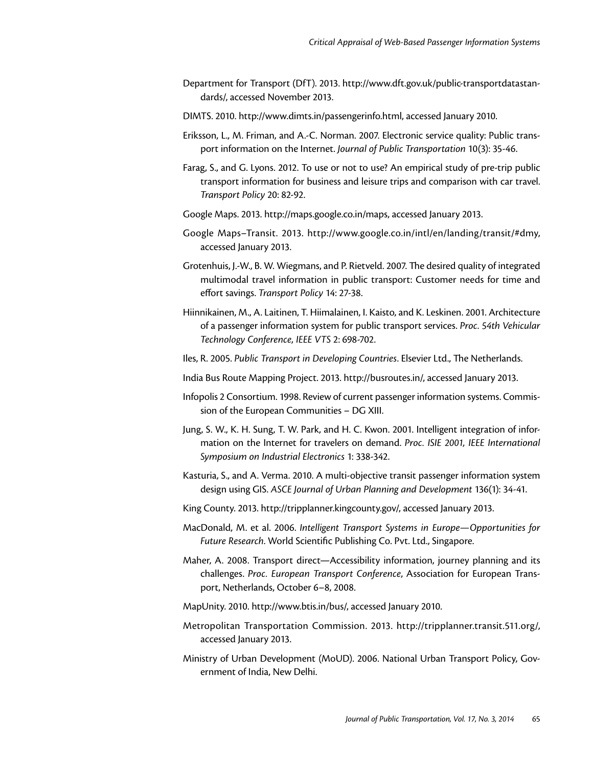- Department for Transport (DfT). 2013. <http://www.dft.gov.uk/public>-transportdatastandards/, accessed November 2013.
- DIMTS. 2010. <http://www.dimts.in/passengerinfo.html>, accessed January 2010.
- Eriksson, L., M. Friman, and A.-C. Norman. 2007. Electronic service quality: Public transport information on the Internet. *Journal of Public Transportation* 10(3): 35-46.
- Farag, S., and G. Lyons. 2012. To use or not to use? An empirical study of pre-trip public transport information for business and leisure trips and comparison with car travel. *Transport Policy* 20: 82-92.
- Google Maps. 2013. [http://maps.google.co.in/maps,](http://maps.google.co.in/maps) accessed January 2013.
- Google Maps–Transit. 2013. [http://www.google.co.in/intl/en/landing/transit/](http://www.google.co.in/intl/en/landing/transit)#dmy, accessed January 2013.
- Grotenhuis, J.-W., B. W. Wiegmans, and P. Rietveld. 2007. The desired quality of integrated multimodal travel information in public transport: Customer needs for time and effort savings. *Transport Policy* 14: 27-38.
- Hiinnikainen, M., A. Laitinen, T. Hiimalainen, I. Kaisto, and K. Leskinen. 2001. Architecture of a passenger information system for public transport services. *Proc. 54th Vehicular Technology Conference, IEEE VTS* 2: 698-702.
- Iles, R. 2005. *Public Transport in Developing Countries*. Elsevier Ltd., The Netherlands.
- India Bus Route Mapping Project. 2013. [http://busroutes.in/](http://busroutes.in), accessed January 2013.
- Infopolis 2 Consortium. 1998. Review of current passenger information systems. Commission of the European Communities – DG XIII.
- Jung, S. W., K. H. Sung, T. W. Park, and H. C. Kwon. 2001. Intelligent integration of information on the Internet for travelers on demand. *Proc. ISIE 2001, IEEE International Symposium on Industrial Electronics* 1: 338-342.
- Kasturia, S., and A. Verma. 2010. A multi-objective transit passenger information system design using GIS. *ASCE Journal of Urban Planning and Development* 136(1): 34-41.
- King County. 2013. [http://tripplanner.kingcounty.gov/](http://tripplanner.kingcounty.gov), accessed January 2013.
- MacDonald, M. et al. 2006. *Intelligent Transport Systems in Europe—Opportunities for Future Research*. World Scientific Publishing Co. Pvt. Ltd., Singapore.
- Maher, A. 2008. Transport direct—Accessibility information, journey planning and its challenges. *Proc. European Transport Conference*, Association for European Transport, Netherlands, October 6–8, 2008.
- MapUnity. 2010. [http://www.btis.in/bus/](http://www.btis.in/bus), accessed January 2010.
- Metropolitan Transportation Commission. 2013. [http://tripplanner.transit.511.org/](http://tripplanner.transit.511.org), accessed January 2013.
- Ministry of Urban Development (MoUD). 2006. National Urban Transport Policy, Government of India, New Delhi.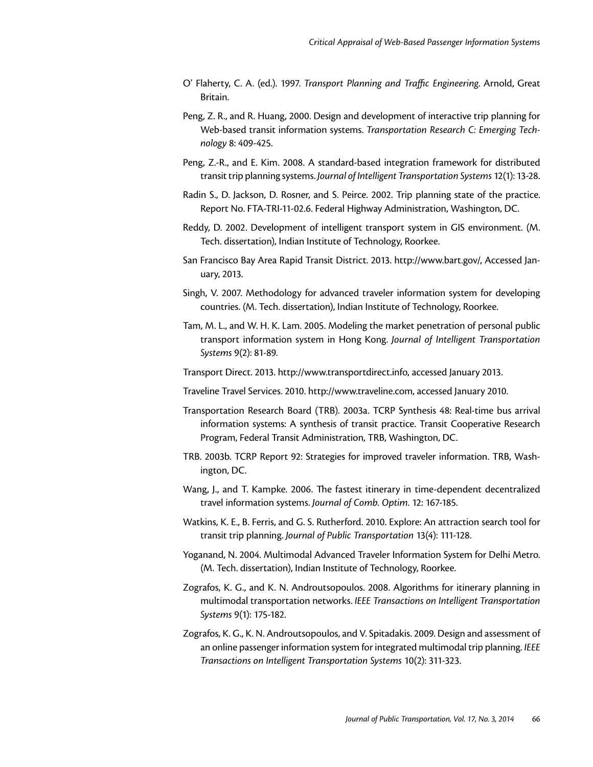- O' Flaherty, C. A. (ed.). 1997. *Transport Planning and Traffic Engineering*. Arnold, Great Britain.
- Peng, Z. R., and R. Huang, 2000. Design and development of interactive trip planning for Web-based transit information systems. *Transportation Research C: Emerging Technology* 8: 409-425.
- Peng, Z.-R., and E. Kim. 2008. A standard-based integration framework for distributed transit trip planning systems. *Journal of Intelligent Transportation Systems* 12(1): 13-28.
- Radin S., D. Jackson, D. Rosner, and S. Peirce. 2002. Trip planning state of the practice. Report No. FTA-TRI-11-02.6. Federal Highway Administration, Washington, DC.
- Reddy, D. 2002. Development of intelligent transport system in GIS environment. (M. Tech. dissertation), Indian Institute of Technology, Roorkee.
- San Francisco Bay Area Rapid Transit District. 2013. [http://www.bart.gov/](http://www.bart.gov), Accessed January, 2013.
- Singh, V. 2007. Methodology for advanced traveler information system for developing countries. (M. Tech. dissertation), Indian Institute of Technology, Roorkee.
- Tam, M. L., and W. H. K. Lam. 2005. Modeling the market penetration of personal public transport information system in Hong Kong. *Journal of Intelligent Transportation Systems* 9(2): 81-89.
- Transport Direct. 2013. <http://www.transportdirect.info>, accessed January 2013.
- Traveline Travel Services. 2010.<http://www.traveline.com>, accessed January 2010.
- Transportation Research Board (TRB). 2003a. TCRP Synthesis 48: Real-time bus arrival information systems: A synthesis of transit practice. Transit Cooperative Research Program, Federal Transit Administration, TRB, Washington, DC.
- TRB. 2003b. TCRP Report 92: Strategies for improved traveler information. TRB, Washington, DC.
- Wang, J., and T. Kampke. 2006. The fastest itinerary in time-dependent decentralized travel information systems. *Journal of Comb. Optim*. 12: 167-185.
- Watkins, K. E., B. Ferris, and G. S. Rutherford. 2010. Explore: An attraction search tool for transit trip planning. *Journal of Public Transportation* 13(4): 111-128.
- Yoganand, N. 2004. Multimodal Advanced Traveler Information System for Delhi Metro. (M. Tech. dissertation), Indian Institute of Technology, Roorkee.
- Zografos, K. G., and K. N. Androutsopoulos. 2008. Algorithms for itinerary planning in multimodal transportation networks. *IEEE Transactions on Intelligent Transportation Systems* 9(1): 175-182.
- Zografos, K. G., K. N. Androutsopoulos, and V. Spitadakis. 2009. Design and assessment of an online passenger information system for integrated multimodal trip planning. *IEEE Transactions on Intelligent Transportation Systems* 10(2): 311-323.